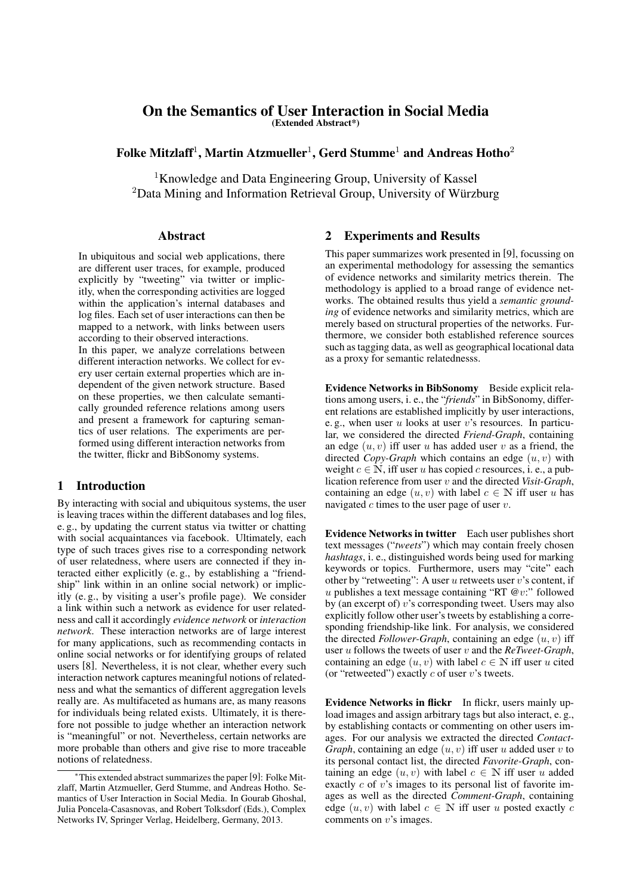## On the Semantics of User Interaction in Social Media (Extended Abstract\*)

# Folke Mitzlaff $^1$ , Martin Atzmueller $^1$ , Gerd Stumme $^1$  and Andreas Hotho $^2$

<sup>1</sup>Knowledge and Data Engineering Group, University of Kassel <sup>2</sup>Data Mining and Information Retrieval Group, University of Würzburg

#### Abstract

In ubiquitous and social web applications, there are different user traces, for example, produced explicitly by "tweeting" via twitter or implicitly, when the corresponding activities are logged within the application's internal databases and log files. Each set of user interactions can then be mapped to a network, with links between users according to their observed interactions.

In this paper, we analyze correlations between different interaction networks. We collect for every user certain external properties which are independent of the given network structure. Based on these properties, we then calculate semantically grounded reference relations among users and present a framework for capturing semantics of user relations. The experiments are performed using different interaction networks from the twitter, flickr and BibSonomy systems.

## 1 Introduction

By interacting with social and ubiquitous systems, the user is leaving traces within the different databases and log files, e. g., by updating the current status via twitter or chatting with social acquaintances via facebook. Ultimately, each type of such traces gives rise to a corresponding network of user relatedness, where users are connected if they interacted either explicitly (e. g., by establishing a "friendship" link within in an online social network) or implicitly (e. g., by visiting a user's profile page). We consider a link within such a network as evidence for user relatedness and call it accordingly *evidence network* or *interaction network*. These interaction networks are of large interest for many applications, such as recommending contacts in online social networks or for identifying groups of related users [8]. Nevertheless, it is not clear, whether every such interaction network captures meaningful notions of relatedness and what the semantics of different aggregation levels really are. As multifaceted as humans are, as many reasons for individuals being related exists. Ultimately, it is therefore not possible to judge whether an interaction network is "meaningful" or not. Nevertheless, certain networks are more probable than others and give rise to more traceable notions of relatedness.

## 2 Experiments and Results

This paper summarizes work presented in [9], focussing on an experimental methodology for assessing the semantics of evidence networks and similarity metrics therein. The methodology is applied to a broad range of evidence networks. The obtained results thus yield a *semantic grounding* of evidence networks and similarity metrics, which are merely based on structural properties of the networks. Furthermore, we consider both established reference sources such as tagging data, as well as geographical locational data as a proxy for semantic relatednesss.

Evidence Networks in BibSonomy Beside explicit relations among users, i. e., the "*friends*" in BibSonomy, different relations are established implicitly by user interactions, e. g., when user  $u$  looks at user  $v$ 's resources. In particular, we considered the directed *Friend-Graph*, containing an edge  $(u, v)$  iff user u has added user v as a friend, the directed *Copy-Graph* which contains an edge (u, v) with weight  $c \in \mathbb{N}$ , iff user u has copied c resources, i. e., a publication reference from user v and the directed *Visit-Graph*, containing an edge  $(u, v)$  with label  $c \in \mathbb{N}$  iff user u has navigated  $c$  times to the user page of user  $v$ .

Evidence Networks in twitter Each user publishes short text messages ("*tweets*") which may contain freely chosen *hashtags*, i. e., distinguished words being used for marking keywords or topics. Furthermore, users may "cite" each other by "retweeting": A user  $u$  retweets user  $v$ 's content, if u publishes a text message containing "RT  $@v$ :" followed by (an excerpt of) v's corresponding tweet. Users may also explicitly follow other user's tweets by establishing a corresponding friendship-like link. For analysis, we considered the directed *Follower-Graph*, containing an edge  $(u, v)$  iff user u follows the tweets of user v and the *ReTweet-Graph*, containing an edge  $(u, v)$  with label  $c \in \mathbb{N}$  iff user u cited (or "retweeted") exactly  $c$  of user  $v$ 's tweets.

Evidence Networks in flickr In flickr, users mainly upload images and assign arbitrary tags but also interact, e. g., by establishing contacts or commenting on other users images. For our analysis we extracted the directed *Contact-Graph*, containing an edge  $(u, v)$  iff user u added user v to its personal contact list, the directed *Favorite-Graph*, containing an edge  $(u, v)$  with label  $c \in \mathbb{N}$  iff user u added exactly  $c$  of  $v$ 's images to its personal list of favorite images as well as the directed *Comment-Graph*, containing edge  $(u, v)$  with label  $c \in \mathbb{N}$  iff user u posted exactly c comments on v's images.

<sup>∗</sup>This extended abstract summarizes the paper [9]: Folke Mitzlaff, Martin Atzmueller, Gerd Stumme, and Andreas Hotho. Semantics of User Interaction in Social Media. In Gourab Ghoshal, Julia Poncela-Casasnovas, and Robert Tolksdorf (Eds.), Complex Networks IV, Springer Verlag, Heidelberg, Germany, 2013.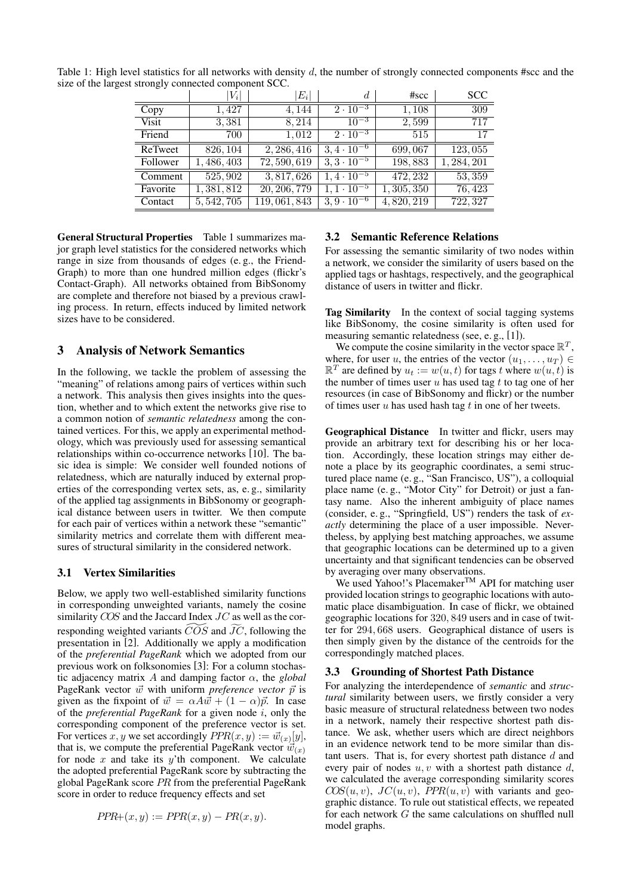|              | $ V_i $   | $E_i$        | $\overline{d}$                  | #sec      | <b>SCC</b>  |
|--------------|-----------|--------------|---------------------------------|-----------|-------------|
| Copy         | 1,427     | 4,144        | $2 \cdot 10^{-3}$               | 1,108     | 309         |
| <b>Visit</b> | 3,381     | 8,214        | $10^{-3}$                       | 2,599     | 717         |
| Friend       | 700       | 1,012        | $2 \cdot 10^{-3}$               | 515       | 17          |
| ReTweet      | 826, 104  | 2, 286, 416  | $3, 4 \cdot 10^{-6}$            | 699,067   | 123,055     |
| Follower     | 1,486,403 | 72,590,619   | $3, 3 \cdot 10^{-5}$            | 198,883   | 1, 284, 201 |
| Comment      | 525, 902  | 3, 817, 626  | $1, 4 \cdot 10^{-5}$            | 472, 232  | 53, 359     |
| Favorite     | 1,381,812 | 20, 206, 779 | $1, 1 \cdot \overline{10^{-5}}$ | 1,305,350 | 76,423      |
| Contact      | 5,542,705 | 119,061,843  | $3, 9 \cdot 10^{-6}$            | 4,820,219 | 722, 327    |

Table 1: High level statistics for all networks with density  $d$ , the number of strongly connected components #scc and the size of the largest strongly connected component SCC.

General Structural Properties Table 1 summarizes major graph level statistics for the considered networks which range in size from thousands of edges (e. g., the Friend-Graph) to more than one hundred million edges (flickr's Contact-Graph). All networks obtained from BibSonomy are complete and therefore not biased by a previous crawling process. In return, effects induced by limited network sizes have to be considered.

### 3 Analysis of Network Semantics

In the following, we tackle the problem of assessing the "meaning" of relations among pairs of vertices within such a network. This analysis then gives insights into the question, whether and to which extent the networks give rise to a common notion of *semantic relatedness* among the contained vertices. For this, we apply an experimental methodology, which was previously used for assessing semantical relationships within co-occurrence networks [10]. The basic idea is simple: We consider well founded notions of relatedness, which are naturally induced by external properties of the corresponding vertex sets, as, e. g., similarity of the applied tag assignments in BibSonomy or geographical distance between users in twitter. We then compute for each pair of vertices within a network these "semantic" similarity metrics and correlate them with different measures of structural similarity in the considered network.

#### 3.1 Vertex Similarities

Below, we apply two well-established similarity functions in corresponding unweighted variants, namely the cosine similarity COS and the Jaccard Index JC as well as the corresponding weighted variants  $\widetilde{COS}$  and  $\widetilde{JC}$ , following the presentation in [2]. Additionally we apply a modification of the *preferential PageRank* which we adopted from our previous work on folksonomies [3]: For a column stochastic adjacency matrix A and damping factor  $\alpha$ , the *global* PageRank vector  $\vec{w}$  with uniform *preference vector*  $\vec{p}$  is given as the fixpoint of  $\vec{w} = \alpha A \vec{w} + (1 - \alpha)\vec{p}$ . In case of the *preferential PageRank* for a given node i, only the corresponding component of the preference vector is set. For vertices  $x, y$  we set accordingly  $PPR(x, y) := \vec{w}_{(x)}[y]$ , that is, we compute the preferential PageRank vector  $\vec{w}_{(x)}$ for node  $x$  and take its  $y'$ th component. We calculate the adopted preferential PageRank score by subtracting the global PageRank score PR from the preferential PageRank score in order to reduce frequency effects and set

$$
PPR+(x,y) := PPR(x,y) - PR(x,y).
$$

#### 3.2 Semantic Reference Relations

For assessing the semantic similarity of two nodes within a network, we consider the similarity of users based on the applied tags or hashtags, respectively, and the geographical distance of users in twitter and flickr.

Tag Similarity In the context of social tagging systems like BibSonomy, the cosine similarity is often used for measuring semantic relatedness (see, e. g., [1]).

We compute the cosine similarity in the vector space  $\mathbb{R}^T$ , where, for user u, the entries of the vector  $(u_1, \ldots, u_T) \in$  $\mathbb{R}^T$  are defined by  $u_t := w(u, t)$  for tags t where  $w(u, t)$  is the number of times user  $u$  has used tag  $t$  to tag one of her resources (in case of BibSonomy and flickr) or the number of times user  $u$  has used hash tag  $t$  in one of her tweets.

Geographical Distance In twitter and flickr, users may provide an arbitrary text for describing his or her location. Accordingly, these location strings may either denote a place by its geographic coordinates, a semi structured place name (e. g., "San Francisco, US"), a colloquial place name (e. g., "Motor City" for Detroit) or just a fantasy name. Also the inherent ambiguity of place names (consider, e. g., "Springfield, US") renders the task of *exactly* determining the place of a user impossible. Nevertheless, by applying best matching approaches, we assume that geographic locations can be determined up to a given uncertainty and that significant tendencies can be observed by averaging over many observations.

We used Yahoo!'s Placemaker<sup>™</sup> API for matching user provided location strings to geographic locations with automatic place disambiguation. In case of flickr, we obtained geographic locations for 320, 849 users and in case of twitter for 294, 668 users. Geographical distance of users is then simply given by the distance of the centroids for the correspondingly matched places.

#### 3.3 Grounding of Shortest Path Distance

For analyzing the interdependence of *semantic* and *structural* similarity between users, we firstly consider a very basic measure of structural relatedness between two nodes in a network, namely their respective shortest path distance. We ask, whether users which are direct neighbors in an evidence network tend to be more similar than distant users. That is, for every shortest path distance  $d$  and every pair of nodes  $u, v$  with a shortest path distance  $d$ , we calculated the average corresponding similarity scores  $COS(u, v)$ ,  $JC(u, v)$ ,  $PPR(u, v)$  with variants and geographic distance. To rule out statistical effects, we repeated for each network G the same calculations on shuffled null model graphs.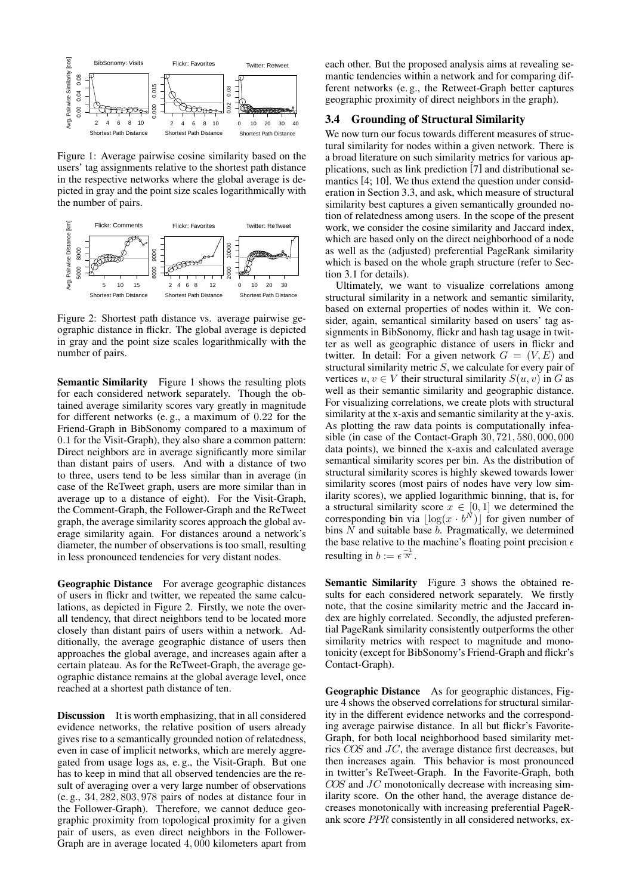

Figure 1: Average pairwise cosine similarity based on the users' tag assignments relative to the shortest path distance in the respective networks where the global average is depicted in gray and the point size scales logarithmically with the number of pairs.



Figure 2: Shortest path distance vs. average pairwise geographic distance in flickr. The global average is depicted in gray and the point size scales logarithmically with the number of pairs.

Semantic Similarity Figure 1 shows the resulting plots for each considered network separately. Though the obtained average similarity scores vary greatly in magnitude for different networks (e. g., a maximum of 0.22 for the Friend-Graph in BibSonomy compared to a maximum of 0.1 for the Visit-Graph), they also share a common pattern: Direct neighbors are in average significantly more similar than distant pairs of users. And with a distance of two to three, users tend to be less similar than in average (in case of the ReTweet graph, users are more similar than in average up to a distance of eight). For the Visit-Graph, the Comment-Graph, the Follower-Graph and the ReTweet graph, the average similarity scores approach the global average similarity again. For distances around a network's diameter, the number of observations is too small, resulting in less pronounced tendencies for very distant nodes.

Geographic Distance For average geographic distances of users in flickr and twitter, we repeated the same calculations, as depicted in Figure 2. Firstly, we note the overall tendency, that direct neighbors tend to be located more closely than distant pairs of users within a network. Additionally, the average geographic distance of users then approaches the global average, and increases again after a certain plateau. As for the ReTweet-Graph, the average geographic distance remains at the global average level, once reached at a shortest path distance of ten.

Discussion It is worth emphasizing, that in all considered evidence networks, the relative position of users already gives rise to a semantically grounded notion of relatedness, even in case of implicit networks, which are merely aggregated from usage logs as, e. g., the Visit-Graph. But one has to keep in mind that all observed tendencies are the result of averaging over a very large number of observations (e. g., 34, 282, 803, 978 pairs of nodes at distance four in the Follower-Graph). Therefore, we cannot deduce geographic proximity from topological proximity for a given pair of users, as even direct neighbors in the Follower-Graph are in average located 4, 000 kilometers apart from

each other. But the proposed analysis aims at revealing semantic tendencies within a network and for comparing different networks (e. g., the Retweet-Graph better captures geographic proximity of direct neighbors in the graph).

#### 3.4 Grounding of Structural Similarity

We now turn our focus towards different measures of structural similarity for nodes within a given network. There is a broad literature on such similarity metrics for various applications, such as link prediction [7] and distributional semantics [4; 10]. We thus extend the question under consideration in Section 3.3, and ask, which measure of structural similarity best captures a given semantically grounded notion of relatedness among users. In the scope of the present work, we consider the cosine similarity and Jaccard index, which are based only on the direct neighborhood of a node as well as the (adjusted) preferential PageRank similarity which is based on the whole graph structure (refer to Section 3.1 for details).

Ultimately, we want to visualize correlations among structural similarity in a network and semantic similarity, based on external properties of nodes within it. We consider, again, semantical similarity based on users' tag assignments in BibSonomy, flickr and hash tag usage in twitter as well as geographic distance of users in flickr and twitter. In detail: For a given network  $G = (V, E)$  and structural similarity metric S, we calculate for every pair of vertices  $u, v \in V$  their structural similarity  $S(u, v)$  in G as well as their semantic similarity and geographic distance. For visualizing correlations, we create plots with structural similarity at the x-axis and semantic similarity at the y-axis. As plotting the raw data points is computationally infeasible (in case of the Contact-Graph 30, 721, 580, 000, 000 data points), we binned the x-axis and calculated average semantical similarity scores per bin. As the distribution of structural similarity scores is highly skewed towards lower similarity scores (most pairs of nodes have very low similarity scores), we applied logarithmic binning, that is, for a structural similarity score  $x \in [0,1]$  we determined the corresponding bin via  $\lfloor \log(x \cdot b^N) \rfloor$  for given number of bins N and suitable base b. Pragmatically, we determined the base relative to the machine's floating point precision  $\epsilon$ resulting in  $b := \epsilon^{\frac{-1}{N}}$ .

Semantic Similarity Figure 3 shows the obtained results for each considered network separately. We firstly note, that the cosine similarity metric and the Jaccard index are highly correlated. Secondly, the adjusted preferential PageRank similarity consistently outperforms the other similarity metrics with respect to magnitude and monotonicity (except for BibSonomy's Friend-Graph and flickr's Contact-Graph).

Geographic Distance As for geographic distances, Figure 4 shows the observed correlations for structural similarity in the different evidence networks and the corresponding average pairwise distance. In all but flickr's Favorite-Graph, for both local neighborhood based similarity metrics COS and JC, the average distance first decreases, but then increases again. This behavior is most pronounced in twitter's ReTweet-Graph. In the Favorite-Graph, both COS and JC monotonically decrease with increasing similarity score. On the other hand, the average distance decreases monotonically with increasing preferential PageRank score PPR consistently in all considered networks, ex-